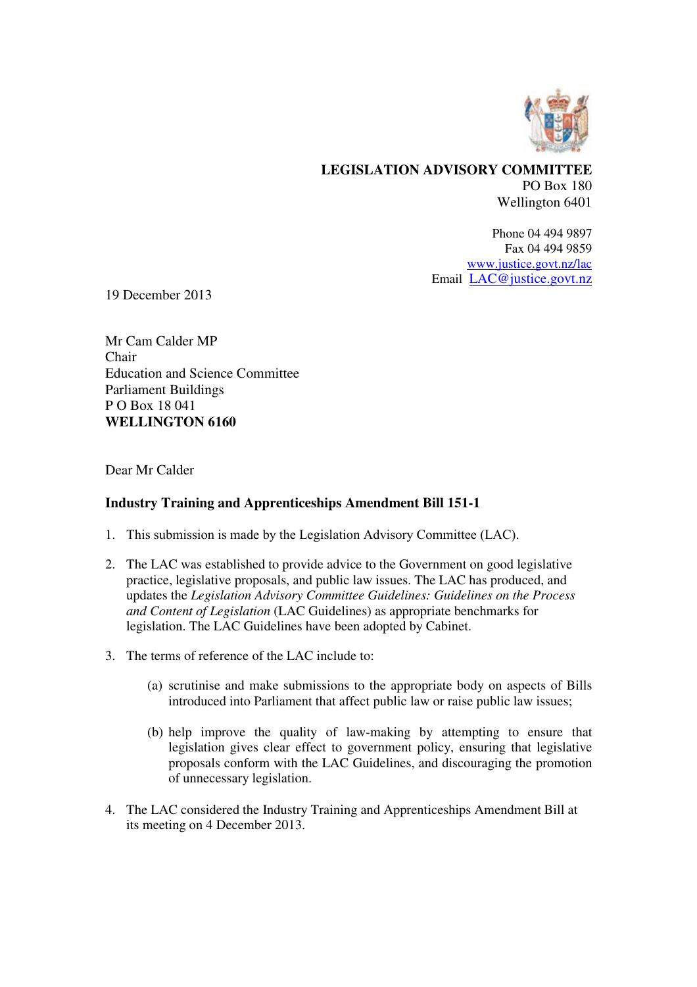

## **LEGISLATION ADVISORY COMMITTEE**  PO Box 180 Wellington 6401

Phone 04 494 9897 Fax 04 494 9859 www.justice.govt.nz/lac Email LAC@justice.govt.nz

19 December 2013

Mr Cam Calder MP Chair Education and Science Committee Parliament Buildings P O Box 18 041 **WELLINGTON 6160** 

Dear Mr Calder

## **Industry Training and Apprenticeships Amendment Bill 151-1**

- 1. This submission is made by the Legislation Advisory Committee (LAC).
- 2. The LAC was established to provide advice to the Government on good legislative practice, legislative proposals, and public law issues. The LAC has produced, and updates the *Legislation Advisory Committee Guidelines: Guidelines on the Process and Content of Legislation* (LAC Guidelines) as appropriate benchmarks for legislation. The LAC Guidelines have been adopted by Cabinet.
- 3. The terms of reference of the LAC include to:
	- (a) scrutinise and make submissions to the appropriate body on aspects of Bills introduced into Parliament that affect public law or raise public law issues;
	- (b) help improve the quality of law-making by attempting to ensure that legislation gives clear effect to government policy, ensuring that legislative proposals conform with the LAC Guidelines, and discouraging the promotion of unnecessary legislation.
- 4. The LAC considered the Industry Training and Apprenticeships Amendment Bill at its meeting on 4 December 2013.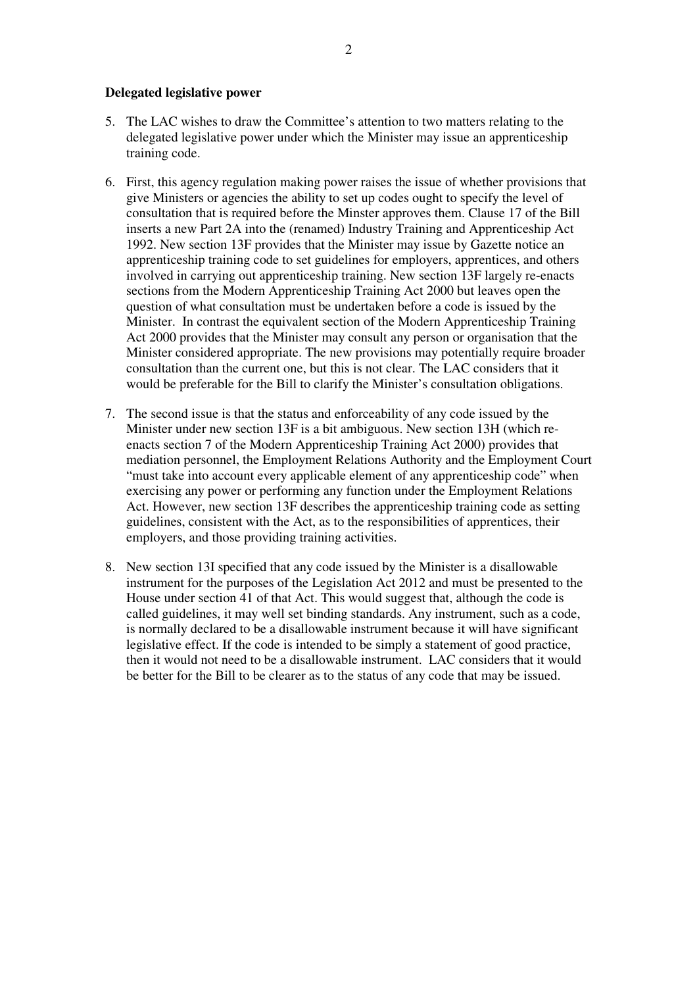## **Delegated legislative power**

- 5. The LAC wishes to draw the Committee's attention to two matters relating to the delegated legislative power under which the Minister may issue an apprenticeship training code.
- 6. First, this agency regulation making power raises the issue of whether provisions that give Ministers or agencies the ability to set up codes ought to specify the level of consultation that is required before the Minster approves them. Clause 17 of the Bill inserts a new Part 2A into the (renamed) Industry Training and Apprenticeship Act 1992. New section 13F provides that the Minister may issue by Gazette notice an apprenticeship training code to set guidelines for employers, apprentices, and others involved in carrying out apprenticeship training. New section 13F largely re-enacts sections from the Modern Apprenticeship Training Act 2000 but leaves open the question of what consultation must be undertaken before a code is issued by the Minister. In contrast the equivalent section of the Modern Apprenticeship Training Act 2000 provides that the Minister may consult any person or organisation that the Minister considered appropriate. The new provisions may potentially require broader consultation than the current one, but this is not clear. The LAC considers that it would be preferable for the Bill to clarify the Minister's consultation obligations.
- 7. The second issue is that the status and enforceability of any code issued by the Minister under new section 13F is a bit ambiguous. New section 13H (which reenacts section 7 of the Modern Apprenticeship Training Act 2000) provides that mediation personnel, the Employment Relations Authority and the Employment Court "must take into account every applicable element of any apprenticeship code" when exercising any power or performing any function under the Employment Relations Act. However, new section 13F describes the apprenticeship training code as setting guidelines, consistent with the Act, as to the responsibilities of apprentices, their employers, and those providing training activities.
- 8. New section 13I specified that any code issued by the Minister is a disallowable instrument for the purposes of the Legislation Act 2012 and must be presented to the House under section 41 of that Act. This would suggest that, although the code is called guidelines, it may well set binding standards. Any instrument, such as a code, is normally declared to be a disallowable instrument because it will have significant legislative effect. If the code is intended to be simply a statement of good practice, then it would not need to be a disallowable instrument. LAC considers that it would be better for the Bill to be clearer as to the status of any code that may be issued.